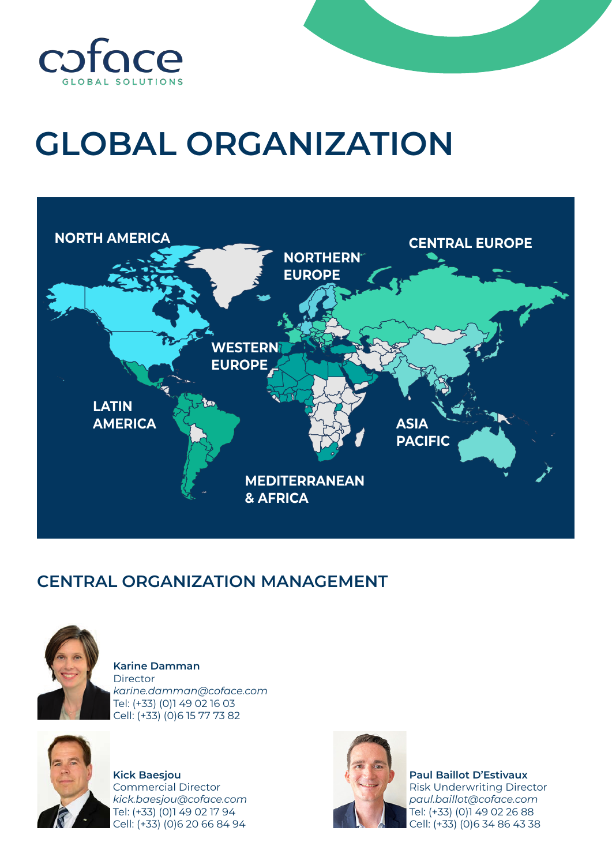

## **GLOBAL ORGANIZATION**



## **CENTRAL ORGANIZATION MANAGEMENT**



**Karine Damman Director** *karine.damman@coface.com* Tel: (+33) (0)1 49 02 16 03 Cell: (+33) (0)6 15 77 73 82



**Kick Baesjou** Commercial Director *kick.baesjou@coface.com* Tel: (+33) (0)1 49 02 17 94 Cell: (+33) (0)6 20 66 84 94



**Paul Baillot D'Estivaux** Risk Underwriting Director *paul.baillot@coface.com* Tel: (+33) (0)1 49 02 26 88 Cell: (+33) (0)6 34 86 43 38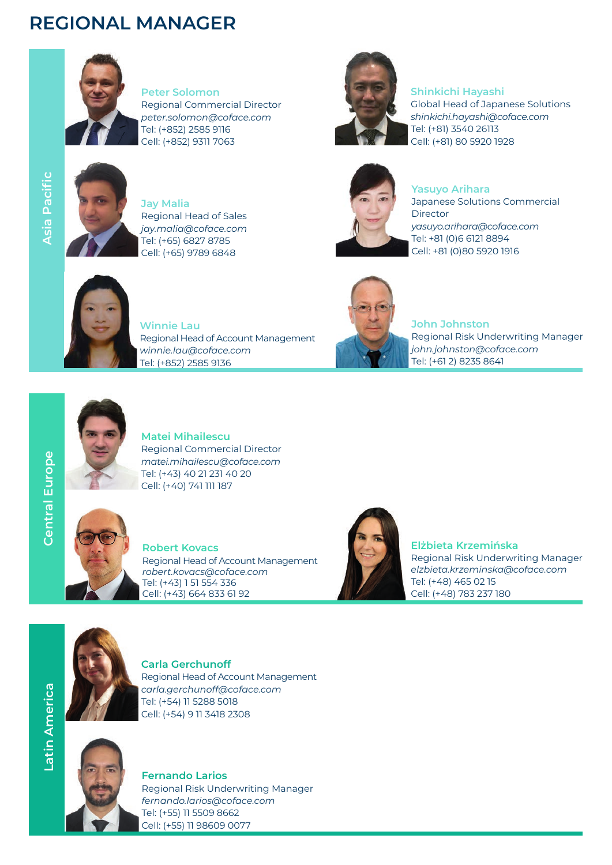## **REGIONAL MANAGER**



**Peter Solomon** Regional Commercial Director *peter.solomon@coface.com* Tel: (+852) 2585 9116 Cell: (+852) 9311 7063



**Jay Malia** Regional Head of Sales *jay.malia@coface.com* Tel: (+65) 6827 8785 Cell: (+65) 9789 6848



## **Shinkichi Hayashi**

Global Head of Japanese Solutions *shinkichi.hayashi@coface.com* Tel: (+81) 3540 26113 Cell: (+81) 80 5920 1928



**Yasuyo Arihara**

Japanese Solutions Commercial Director *yasuyo.arihara@coface.com* Tel: +81 (0)6 6121 8894 Cell: +81 (0)80 5920 1916



**Winnie Lau** Regional Head of Account Management *winnie.lau@coface.com* Tel: (+852) 2585 9136



**John Johnston** Regional Risk Underwriting Manager *john.johnston@coface.com* Tel: (+61 2) 8235 8641



**Matei Mihailescu** Regional Commercial Director *matei.mihailescu@coface.com* Tel: (+43) 40 21 231 40 20 Cell: (+40) 741 111 187



**Robert Kovacs** Regional Head of Account Management *robert.kovacs@coface.com* Tel: (+43) 1 51 554 336 Cell: (+43) 664 833 61 92



**Elżbieta Krzemińska** Regional Risk Underwriting Manager *elzbieta.krzeminska@coface.com* Tel: (+48) 465 02 15 Cell: (+48) 783 237 180



**Carla Gerchunoff** Regional Head of Account Management *carla.gerchunoff@coface.com* Tel: (+54) 11 5288 5018 Cell: (+54) 9 11 3418 2308



**Fernando Larios** Regional Risk Underwriting Manager *fernando.larios@coface.com* Tel: (+55) 11 5509 8662 Cell: (+55) 11 98609 0077

**Central Europe**

**Central Europe**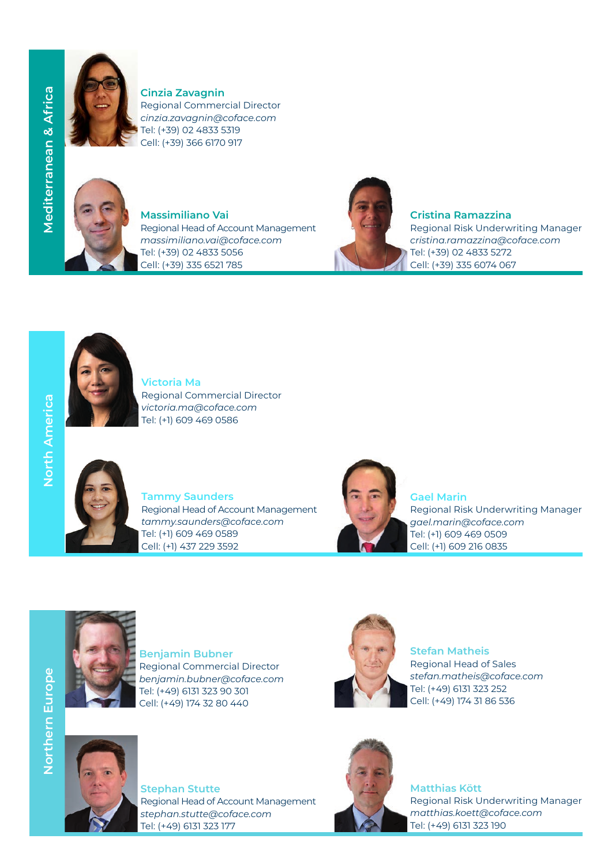

**Cinzia Zavagnin** Regional Commercial Director *cinzia.zavagnin@coface.com* Tel: (+39) 02 4833 5319 Cell: (+39) 366 6170 917



**Massimiliano Vai** Regional Head of Account Management *massimiliano.vai@coface.com* Tel: (+39) 02 4833 5056 Cell: (+39) 335 6521 785



**Cristina Ramazzina**

Regional Risk Underwriting Manager *cristina.ramazzina@coface.com* Tel: (+39) 02 4833 5272 Cell: (+39) 335 6074 067



**Victoria Ma** Regional Commercial Director *victoria.ma@coface.com* Tel: (+1) 609 469 0586



**Tammy Saunders**  Regional Head of Account Management *tammy.saunders@coface.com* Tel: (+1) 609 469 0589 Cell: (+1) 437 229 3592



**Gael Marin** Regional Risk Underwriting Manager *gael.marin@coface.com* Tel: (+1) 609 469 0509 Cell: (+1) 609 216 0835



**Benjamin Bubner** Regional Commercial Director *benjamin.bubner@coface.com* Tel: (+49) 6131 323 90 301 Cell: (+49) 174 32 80 440



**Stefan Matheis** Regional Head of Sales *stefan.matheis@coface.com* Tel: (+49) 6131 323 252 Cell: (+49) 174 31 86 536



**Stephan Stutte** Regional Head of Account Management *stephan.stutte@coface.com* Tel: (+49) 6131 323 177



**Matthias Kött** Regional Risk Underwriting Manager *matthias.koett@coface.com* Tel: (+49) 6131 323 190

North America **North America**

**Mediterranean & Africa**

**Mediterranean & Africa** 

**Northern Europe**

Northern Europe